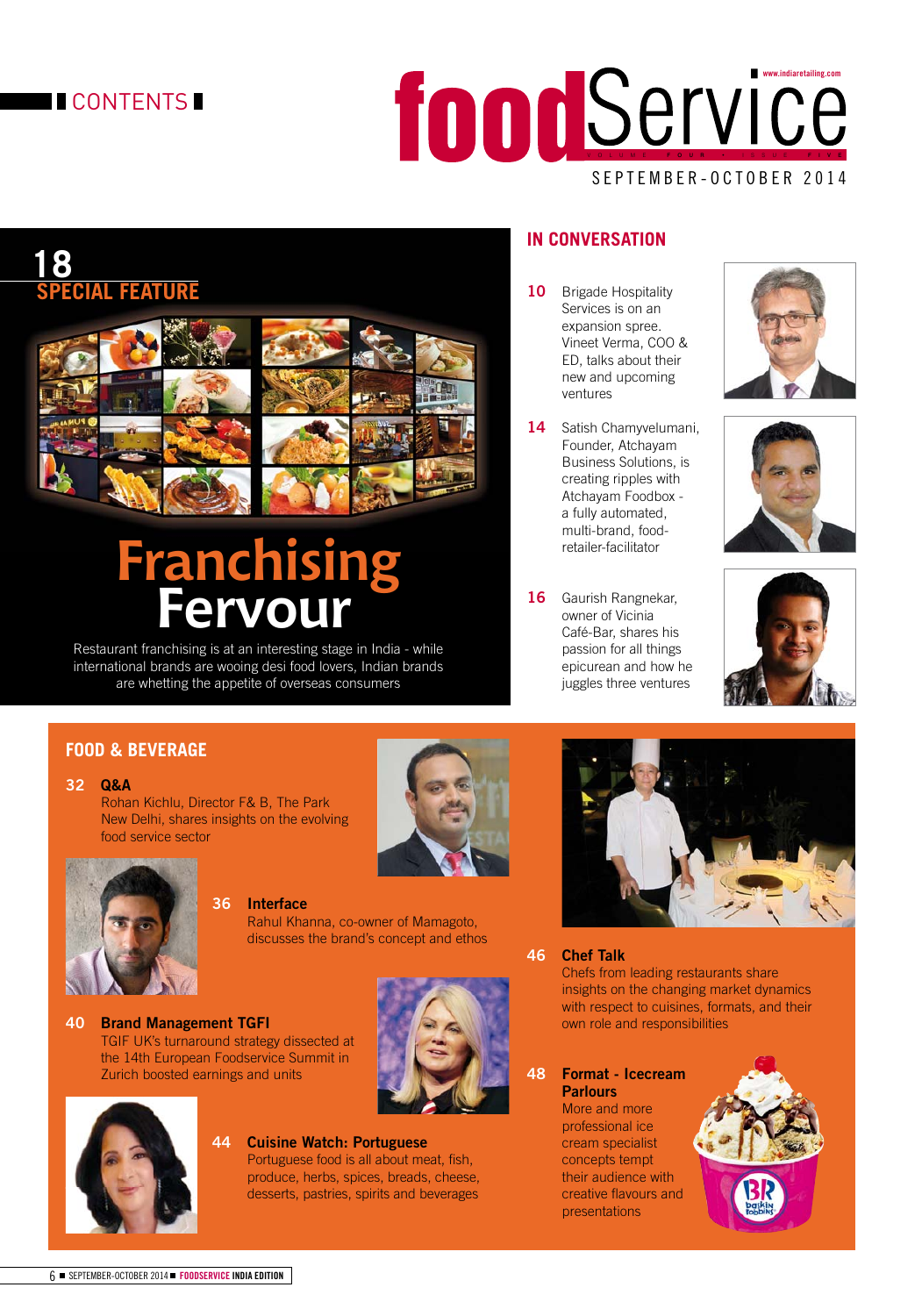## **CONTENTS**

# VOLUME FOUR • ISSUE FIVE **www.indiaretailing.com**

#### SEPTEMBER-OCTOBER 2014

# **18 SPECIAL FEATURE**



# **Franchising Fervour**

Restaurant franchising is at an interesting stage in India - while international brands are wooing desi food lovers, Indian brands are whetting the appetite of overseas consumers

### **IN CONVERSATION**

- 10 Brigade Hospitality Services is on an expansion spree. Vineet Verma, COO & ED, talks about their new and upcoming ventures
- **14** Satish Chamyvelumani, Founder, Atchayam Business Solutions, is creating ripples with Atchayam Foodbox a fully automated, multi-brand, foodretailer-facilitator
- **16** Gaurish Rangnekar, owner of Vicinia Café-Bar, shares his passion for all things epicurean and how he juggles three ventures







### **FOOD & BEVERAGE**



 Rohan Kichlu, Director F& B, The Park New Delhi, shares insights on the evolving food service sector



#### **36 Interface**

 Rahul Khanna, co-owner of Mamagoto, discusses the brand's concept and ethos







#### **44 Cuisine Watch: Portuguese**

Portuguese food is all about meat, fish, produce, herbs, spices, breads, cheese, desserts, pastries, spirits and beverages



#### **46 Chef Talk**

 Chefs from leading restaurants share insights on the changing market dynamics with respect to cuisines, formats, and their own role and responsibilities

#### **48 Format - Icecream Parlours**

 More and more professional ice cream specialist concepts tempt their audience with creative flavours and presentations